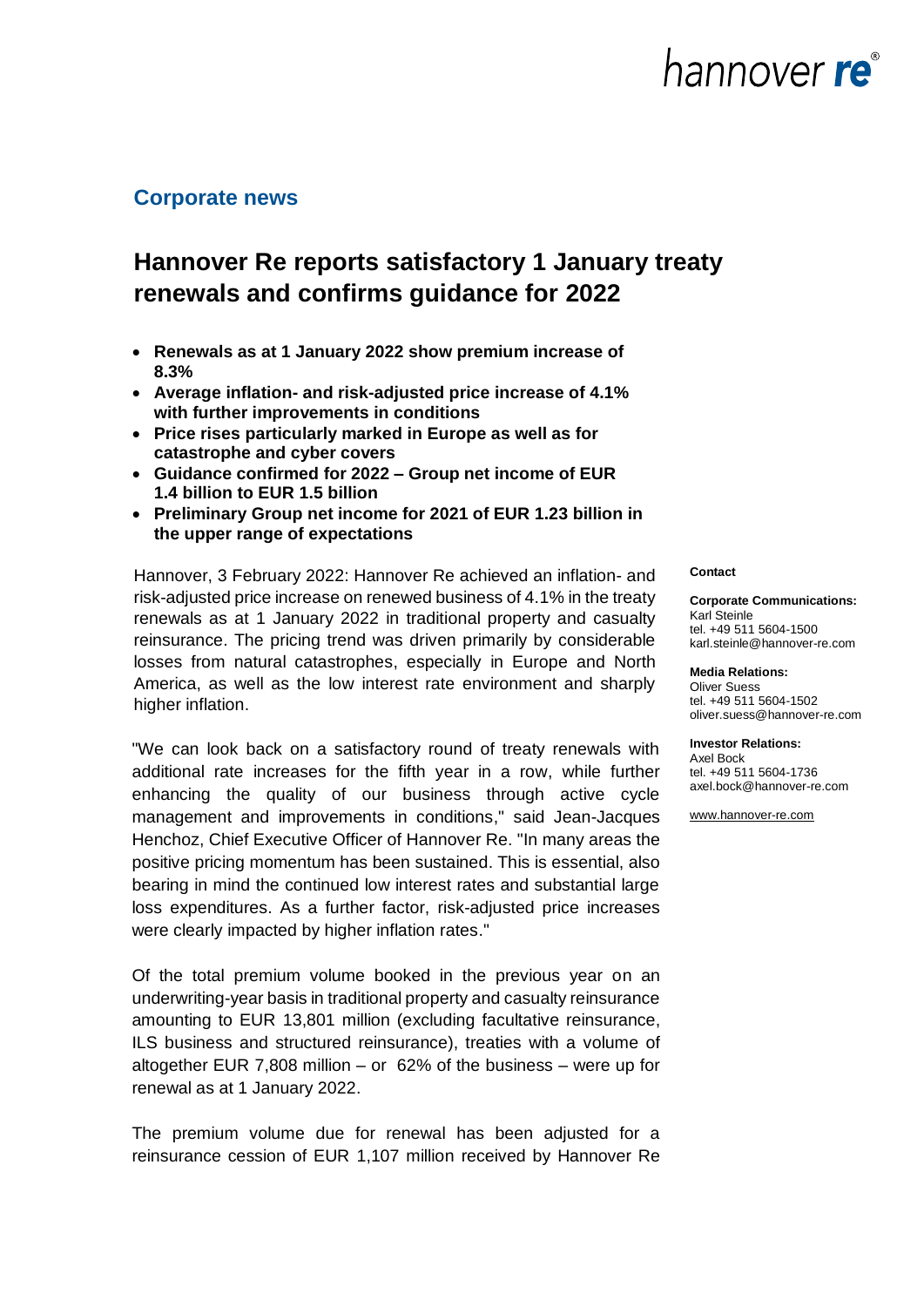

### **Corporate news**

### **Hannover Re reports satisfactory 1 January treaty renewals and confirms guidance for 2022**

- **Renewals as at 1 January 2022 show premium increase of 8.3%**
- **Average inflation- and risk-adjusted price increase of 4.1% with further improvements in conditions**
- **Price rises particularly marked in Europe as well as for catastrophe and cyber covers**
- **Guidance confirmed for 2022 – Group net income of EUR 1.4 billion to EUR 1.5 billion**
- **Preliminary Group net income for 2021 of EUR 1.23 billion in the upper range of expectations**

Hannover, 3 February 2022: Hannover Re achieved an inflation- and risk-adjusted price increase on renewed business of 4.1% in the treaty renewals as at 1 January 2022 in traditional property and casualty reinsurance. The pricing trend was driven primarily by considerable losses from natural catastrophes, especially in Europe and North America, as well as the low interest rate environment and sharply higher inflation.

"We can look back on a satisfactory round of treaty renewals with additional rate increases for the fifth year in a row, while further enhancing the quality of our business through active cycle management and improvements in conditions," said Jean-Jacques Henchoz, Chief Executive Officer of Hannover Re. "In many areas the positive pricing momentum has been sustained. This is essential, also bearing in mind the continued low interest rates and substantial large loss expenditures. As a further factor, risk-adjusted price increases were clearly impacted by higher inflation rates."

Of the total premium volume booked in the previous year on an underwriting-year basis in traditional property and casualty reinsurance amounting to EUR 13,801 million (excluding facultative reinsurance, ILS business and structured reinsurance), treaties with a volume of altogether EUR 7,808 million – or 62% of the business – were up for renewal as at 1 January 2022.

The premium volume due for renewal has been adjusted for a reinsurance cession of EUR 1,107 million received by Hannover Re

#### **Contact**

**Corporate Communications:** Karl Steinle tel. +49 511 5604-1500 karl.steinle@hannover-re.com

**Media Relations:**  Oliver Suess tel. +49 511 5604-1502 oliver.suess@hannover-re.com

**Investor Relations:**  Axel Bock tel. +49 511 5604-1736 axel.bock@hannover-re.com

[www.hannover-re.com](http://www.hannover-rueck.de/)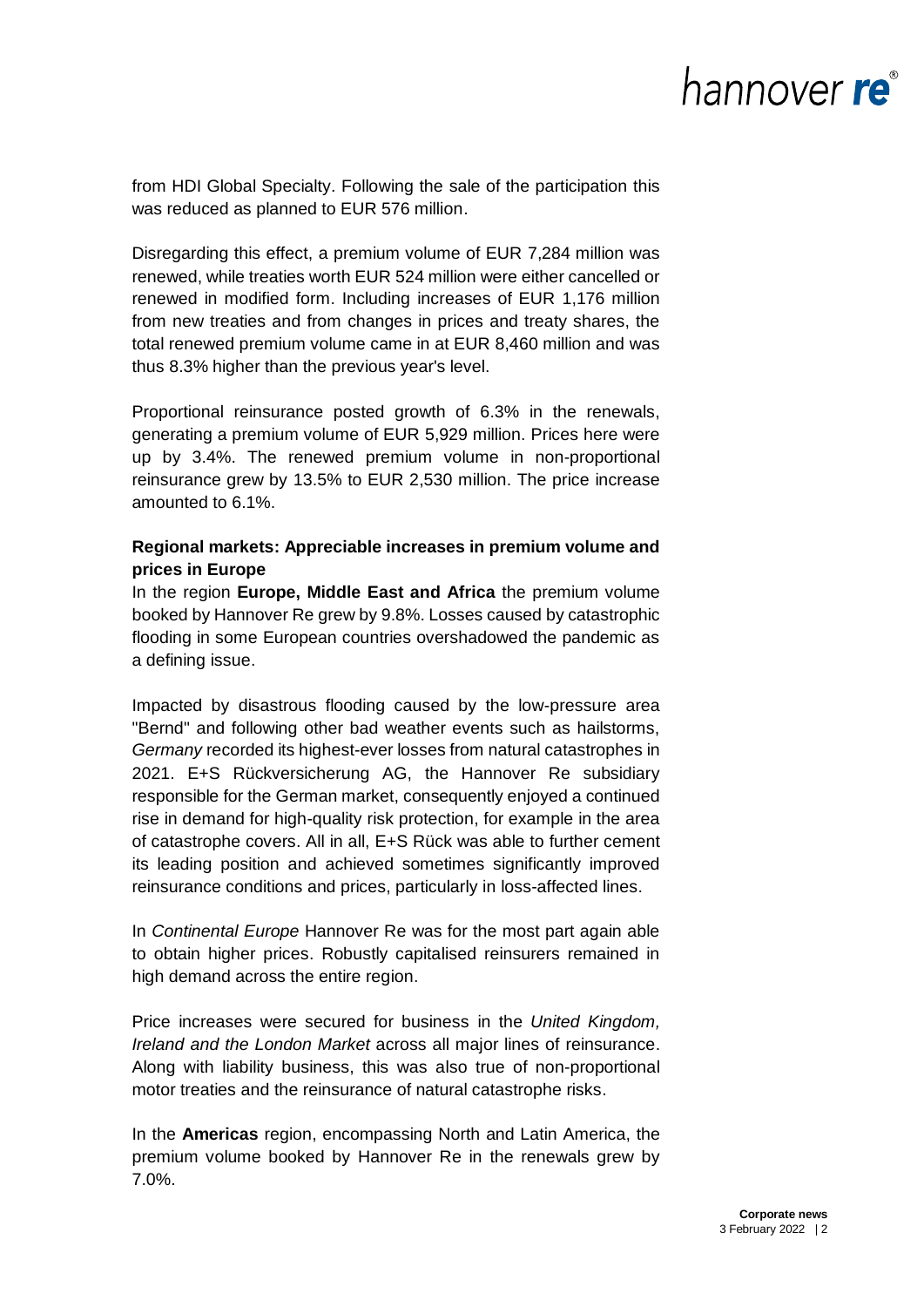from HDI Global Specialty. Following the sale of the participation this was reduced as planned to EUR 576 million.

Disregarding this effect, a premium volume of EUR 7,284 million was renewed, while treaties worth EUR 524 million were either cancelled or renewed in modified form. Including increases of EUR 1,176 million from new treaties and from changes in prices and treaty shares, the total renewed premium volume came in at EUR 8,460 million and was thus 8.3% higher than the previous year's level.

Proportional reinsurance posted growth of 6.3% in the renewals, generating a premium volume of EUR 5,929 million. Prices here were up by 3.4%. The renewed premium volume in non-proportional reinsurance grew by 13.5% to EUR 2,530 million. The price increase amounted to 6.1%.

### **Regional markets: Appreciable increases in premium volume and prices in Europe**

In the region **Europe, Middle East and Africa** the premium volume booked by Hannover Re grew by 9.8%. Losses caused by catastrophic flooding in some European countries overshadowed the pandemic as a defining issue.

Impacted by disastrous flooding caused by the low-pressure area "Bernd" and following other bad weather events such as hailstorms, *Germany* recorded its highest-ever losses from natural catastrophes in 2021. E+S Rückversicherung AG, the Hannover Re subsidiary responsible for the German market, consequently enjoyed a continued rise in demand for high-quality risk protection, for example in the area of catastrophe covers. All in all, E+S Rück was able to further cement its leading position and achieved sometimes significantly improved reinsurance conditions and prices, particularly in loss-affected lines.

In *Continental Europe* Hannover Re was for the most part again able to obtain higher prices. Robustly capitalised reinsurers remained in high demand across the entire region.

Price increases were secured for business in the *United Kingdom, Ireland and the London Market* across all major lines of reinsurance. Along with liability business, this was also true of non-proportional motor treaties and the reinsurance of natural catastrophe risks.

In the **Americas** region, encompassing North and Latin America, the premium volume booked by Hannover Re in the renewals grew by 7.0%.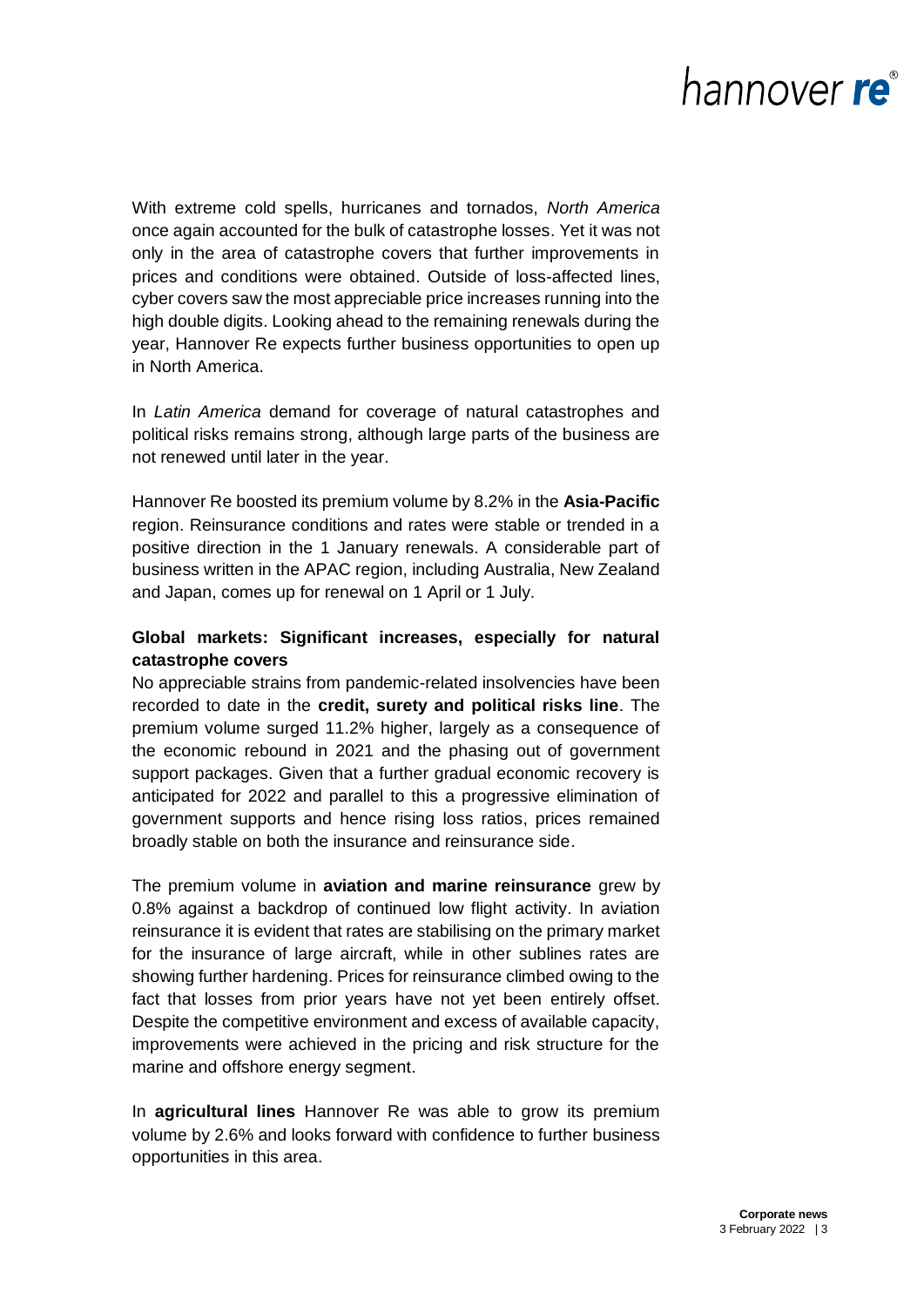With extreme cold spells, hurricanes and tornados, *North America* once again accounted for the bulk of catastrophe losses. Yet it was not only in the area of catastrophe covers that further improvements in prices and conditions were obtained. Outside of loss-affected lines, cyber covers saw the most appreciable price increases running into the high double digits. Looking ahead to the remaining renewals during the year, Hannover Re expects further business opportunities to open up in North America.

In *Latin America* demand for coverage of natural catastrophes and political risks remains strong, although large parts of the business are not renewed until later in the year.

Hannover Re boosted its premium volume by 8.2% in the **Asia-Pacific** region. Reinsurance conditions and rates were stable or trended in a positive direction in the 1 January renewals. A considerable part of business written in the APAC region, including Australia, New Zealand and Japan, comes up for renewal on 1 April or 1 July.

### **Global markets: Significant increases, especially for natural catastrophe covers**

No appreciable strains from pandemic-related insolvencies have been recorded to date in the **credit, surety and political risks line**. The premium volume surged 11.2% higher, largely as a consequence of the economic rebound in 2021 and the phasing out of government support packages. Given that a further gradual economic recovery is anticipated for 2022 and parallel to this a progressive elimination of government supports and hence rising loss ratios, prices remained broadly stable on both the insurance and reinsurance side.

The premium volume in **aviation and marine reinsurance** grew by 0.8% against a backdrop of continued low flight activity. In aviation reinsurance it is evident that rates are stabilising on the primary market for the insurance of large aircraft, while in other sublines rates are showing further hardening. Prices for reinsurance climbed owing to the fact that losses from prior years have not yet been entirely offset. Despite the competitive environment and excess of available capacity, improvements were achieved in the pricing and risk structure for the marine and offshore energy segment.

In **agricultural lines** Hannover Re was able to grow its premium volume by 2.6% and looks forward with confidence to further business opportunities in this area.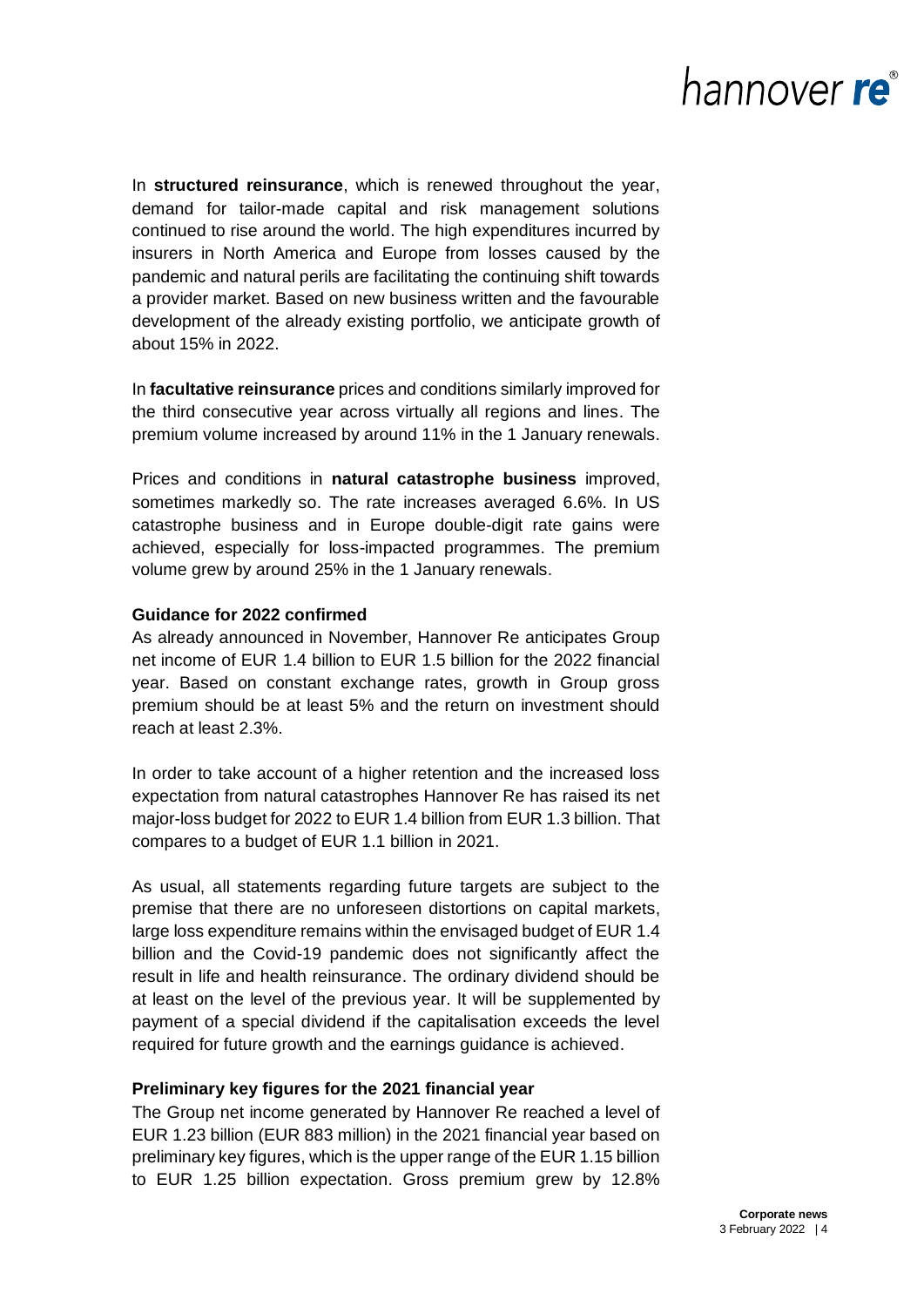In **structured reinsurance**, which is renewed throughout the year, demand for tailor-made capital and risk management solutions continued to rise around the world. The high expenditures incurred by insurers in North America and Europe from losses caused by the pandemic and natural perils are facilitating the continuing shift towards a provider market. Based on new business written and the favourable development of the already existing portfolio, we anticipate growth of about 15% in 2022.

In **facultative reinsurance** prices and conditions similarly improved for the third consecutive year across virtually all regions and lines. The premium volume increased by around 11% in the 1 January renewals.

Prices and conditions in **natural catastrophe business** improved, sometimes markedly so. The rate increases averaged 6.6%. In US catastrophe business and in Europe double-digit rate gains were achieved, especially for loss-impacted programmes. The premium volume grew by around 25% in the 1 January renewals.

#### **Guidance for 2022 confirmed**

As already announced in November, Hannover Re anticipates Group net income of EUR 1.4 billion to EUR 1.5 billion for the 2022 financial year. Based on constant exchange rates, growth in Group gross premium should be at least 5% and the return on investment should reach at least 2.3%.

In order to take account of a higher retention and the increased loss expectation from natural catastrophes Hannover Re has raised its net major-loss budget for 2022 to EUR 1.4 billion from EUR 1.3 billion. That compares to a budget of EUR 1.1 billion in 2021.

As usual, all statements regarding future targets are subject to the premise that there are no unforeseen distortions on capital markets, large loss expenditure remains within the envisaged budget of EUR 1.4 billion and the Covid-19 pandemic does not significantly affect the result in life and health reinsurance. The ordinary dividend should be at least on the level of the previous year. It will be supplemented by payment of a special dividend if the capitalisation exceeds the level required for future growth and the earnings guidance is achieved.

#### **Preliminary key figures for the 2021 financial year**

The Group net income generated by Hannover Re reached a level of EUR 1.23 billion (EUR 883 million) in the 2021 financial year based on preliminary key figures, which is the upper range of the EUR 1.15 billion to EUR 1.25 billion expectation. Gross premium grew by 12.8%